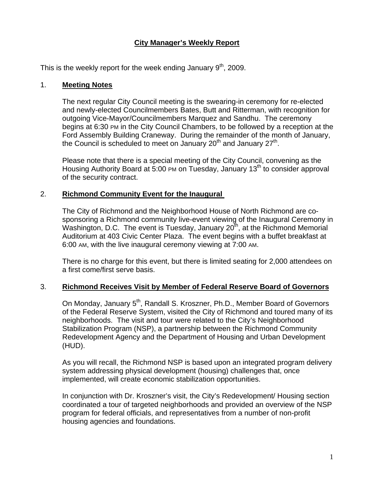# **City Manager's Weekly Report**

This is the weekly report for the week ending January  $9<sup>th</sup>$ , 2009.

#### 1. **Meeting Notes**

The next regular City Council meeting is the swearing-in ceremony for re-elected and newly-elected Councilmembers Bates, Butt and Ritterman, with recognition for outgoing Vice-Mayor/Councilmembers Marquez and Sandhu. The ceremony begins at 6:30 PM in the City Council Chambers, to be followed by a reception at the Ford Assembly Building Craneway. During the remainder of the month of January, the Council is scheduled to meet on January  $20<sup>th</sup>$  and January  $27<sup>th</sup>$ .

Please note that there is a special meeting of the City Council, convening as the Housing Authority Board at 5:00 PM on Tuesday, January 13<sup>th</sup> to consider approval of the security contract.

#### 2. **Richmond Community Event for the Inaugural**

The City of Richmond and the Neighborhood House of North Richmond are cosponsoring a Richmond community live-event viewing of the Inaugural Ceremony in Washington, D.C. The event is Tuesday, January  $20<sup>th</sup>$ , at the Richmond Memorial Auditorium at 403 Civic Center Plaza. The event begins with a buffet breakfast at 6:00 AM, with the live inaugural ceremony viewing at 7:00 AM.

There is no charge for this event, but there is limited seating for 2,000 attendees on a first come/first serve basis.

# 3. **Richmond Receives Visit by Member of Federal Reserve Board of Governors**

On Monday, January 5<sup>th</sup>, Randall S. Kroszner, Ph.D., Member Board of Governors of the Federal Reserve System, visited the City of Richmond and toured many of its neighborhoods. The visit and tour were related to the City's Neighborhood Stabilization Program (NSP), a partnership between the Richmond Community Redevelopment Agency and the Department of Housing and Urban Development (HUD).

As you will recall, the Richmond NSP is based upon an integrated program delivery system addressing physical development (housing) challenges that, once implemented, will create economic stabilization opportunities.

In conjunction with Dr. Kroszner's visit, the City's Redevelopment/ Housing section coordinated a tour of targeted neighborhoods and provided an overview of the NSP program for federal officials, and representatives from a number of non-profit housing agencies and foundations.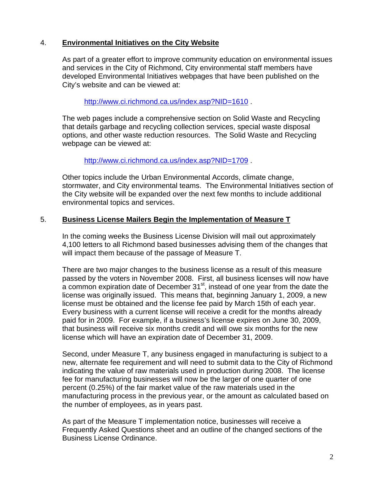### 4. **Environmental Initiatives on the City Website**

As part of a greater effort to improve community education on environmental issues and services in the City of Richmond, City environmental staff members have developed Environmental Initiatives webpages that have been published on the City's website and can be viewed at:

<http://www.ci.richmond.ca.us/index.asp?NID=1610>

The web pages include a comprehensive section on Solid Waste and Recycling that details garbage and recycling collection services, special waste disposal options, and other waste reduction resources. The Solid Waste and Recycling webpage can be viewed at:

<http://www.ci.richmond.ca.us/index.asp?NID=1709> .

Other topics include the Urban Environmental Accords, climate change, stormwater, and City environmental teams. The Environmental Initiatives section of the City website will be expanded over the next few months to include additional environmental topics and services.

#### 5. **Business License Mailers Begin the Implementation of Measure T**

In the coming weeks the Business License Division will mail out approximately 4,100 letters to all Richmond based businesses advising them of the changes that will impact them because of the passage of Measure T.

There are two major changes to the business license as a result of this measure passed by the voters in November 2008. First, all business licenses will now have  $\alpha$  common expiration date of December 31 $\mathrm{^{st}}$ , instead of one year from the date the license was originally issued. This means that, beginning January 1, 2009, a new license must be obtained and the license fee paid by March 15th of each year. Every business with a current license will receive a credit for the months already paid for in 2009. For example, if a business's license expires on June 30, 2009, that business will receive six months credit and will owe six months for the new license which will have an expiration date of December 31, 2009.

Second, under Measure T, any business engaged in manufacturing is subject to a new, alternate fee requirement and will need to submit data to the City of Richmond indicating the value of raw materials used in production during 2008. The license fee for manufacturing businesses will now be the larger of one quarter of one percent (0.25%) of the fair market value of the raw materials used in the manufacturing process in the previous year, or the amount as calculated based on the number of employees, as in years past.

As part of the Measure T implementation notice, businesses will receive a Frequently Asked Questions sheet and an outline of the changed sections of the Business License Ordinance.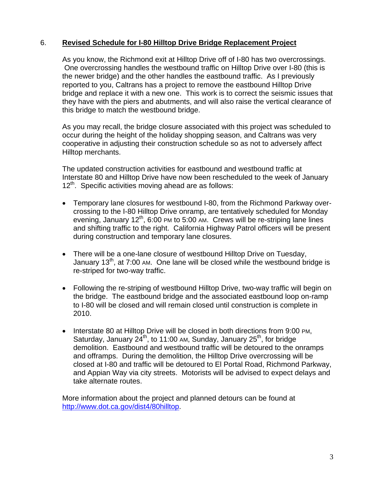# 6. **Revised Schedule for I-80 Hilltop Drive Bridge Replacement Project**

As you know, the Richmond exit at Hilltop Drive off of I-80 has two overcrossings. One overcrossing handles the westbound traffic on Hilltop Drive over I-80 (this is the newer bridge) and the other handles the eastbound traffic. As I previously reported to you, Caltrans has a project to remove the eastbound Hilltop Drive bridge and replace it with a new one. This work is to correct the seismic issues that they have with the piers and abutments, and will also raise the vertical clearance of this bridge to match the westbound bridge.

As you may recall, the bridge closure associated with this project was scheduled to occur during the height of the holiday shopping season, and Caltrans was very cooperative in adjusting their construction schedule so as not to adversely affect Hilltop merchants.

The updated construction activities for eastbound and westbound traffic at Interstate 80 and Hilltop Drive have now been rescheduled to the week of January 12<sup>th</sup>. Specific activities moving ahead are as follows:

- Temporary lane closures for westbound I-80, from the Richmond Parkway overcrossing to the I-80 Hilltop Drive onramp, are tentatively scheduled for Monday evening, January  $12<sup>th</sup>$ , 6:00 PM to 5:00 AM. Crews will be re-striping lane lines and shifting traffic to the right. California Highway Patrol officers will be present during construction and temporary lane closures.
- There will be a one-lane closure of westbound Hilltop Drive on Tuesday, January  $13<sup>th</sup>$ , at 7:00 AM. One lane will be closed while the westbound bridge is re-striped for two-way traffic.
- Following the re-striping of westbound Hilltop Drive, two-way traffic will begin on the bridge. The eastbound bridge and the associated eastbound loop on-ramp to I-80 will be closed and will remain closed until construction is complete in 2010.
- Interstate 80 at Hilltop Drive will be closed in both directions from 9:00 PM, Saturday, January  $24^{th}$ , to 11:00 AM, Sunday, January  $25^{th}$ , for bridge demolition. Eastbound and westbound traffic will be detoured to the onramps and offramps. During the demolition, the Hilltop Drive overcrossing will be closed at I-80 and traffic will be detoured to El Portal Road, Richmond Parkway, and Appian Way via city streets. Motorists will be advised to expect delays and take alternate routes.

More information about the project and planned detours can be found at <http://www.dot.ca.gov/dist4/80hilltop>.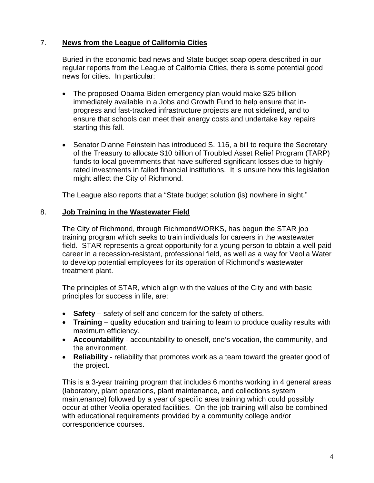# 7. **News from the League of California Cities**

Buried in the economic bad news and State budget soap opera described in our regular reports from the League of California Cities, there is some potential good news for cities. In particular:

- The proposed Obama-Biden emergency plan would make \$25 billion immediately available in a Jobs and Growth Fund to help ensure that inprogress and fast-tracked infrastructure projects are not sidelined, and to ensure that schools can meet their energy costs and undertake key repairs starting this fall.
- Senator Dianne Feinstein has introduced S. 116, a bill to require the Secretary of the Treasury to allocate \$10 billion of Troubled Asset Relief Program (TARP) funds to local governments that have suffered significant losses due to highlyrated investments in failed financial institutions. It is unsure how this legislation might affect the City of Richmond.

The League also reports that a "State budget solution (is) nowhere in sight."

# 8. **Job Training in the Wastewater Field**

The City of Richmond, through RichmondWORKS, has begun the STAR job training program which seeks to train individuals for careers in the wastewater field. STAR represents a great opportunity for a young person to obtain a well-paid career in a recession-resistant, professional field, as well as a way for Veolia Water to develop potential employees for its operation of Richmond's wastewater treatment plant.

The principles of STAR, which align with the values of the City and with basic principles for success in life, are:

- **Safety** safety of self and concern for the safety of others.
- **Training** quality education and training to learn to produce quality results with maximum efficiency.
- **Accountability** accountability to oneself, one's vocation, the community, and the environment.
- **Reliability** reliability that promotes work as a team toward the greater good of the project.

This is a 3-year training program that includes 6 months working in 4 general areas (laboratory, plant operations, plant maintenance, and collections system maintenance) followed by a year of specific area training which could possibly occur at other Veolia-operated facilities. On-the-job training will also be combined with educational requirements provided by a community college and/or correspondence courses.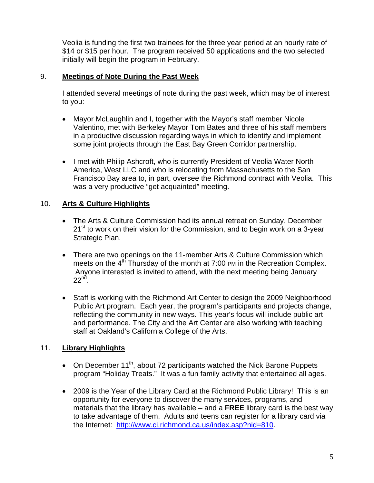Veolia is funding the first two trainees for the three year period at an hourly rate of \$14 or \$15 per hour. The program received 50 applications and the two selected initially will begin the program in February.

#### 9. **Meetings of Note During the Past Week**

I attended several meetings of note during the past week, which may be of interest to you:

- Mayor McLaughlin and I, together with the Mayor's staff member Nicole Valentino, met with Berkeley Mayor Tom Bates and three of his staff members in a productive discussion regarding ways in which to identify and implement some joint projects through the East Bay Green Corridor partnership.
- I met with Philip Ashcroft, who is currently President of Veolia Water North America, West LLC and who is relocating from Massachusetts to the San Francisco Bay area to, in part, oversee the Richmond contract with Veolia. This was a very productive "get acquainted" meeting.

# 10. **Arts & Culture Highlights**

- The Arts & Culture Commission had its annual retreat on Sunday, December  $21<sup>st</sup>$  to work on their vision for the Commission, and to begin work on a 3-year Strategic Plan.
- There are two openings on the 11-member Arts & Culture Commission which meets on the  $4<sup>th</sup>$  Thursday of the month at 7:00 PM in the Recreation Complex. Anyone interested is invited to attend, with the next meeting being January  $22<sup>nd</sup>$ .
- Staff is working with the Richmond Art Center to design the 2009 Neighborhood Public Art program. Each year, the program's participants and projects change, reflecting the community in new ways. This year's focus will include public art and performance. The City and the Art Center are also working with teaching staff at Oakland's California College of the Arts.

# 11. **Library Highlights**

- On December  $11^{th}$ , about 72 participants watched the Nick Barone Puppets program "Holiday Treats." It was a fun family activity that entertained all ages.
- 2009 is the Year of the Library Card at the Richmond Public Library! This is an opportunity for everyone to discover the many services, programs, and materials that the library has available – and a **FREE** library card is the best way to take advantage of them. Adults and teens can register for a library card via the Internet: [http://www.ci.richmond.ca.us/index.asp?nid=810.](http://www.ci.richmond.ca.us/index.asp?nid=810)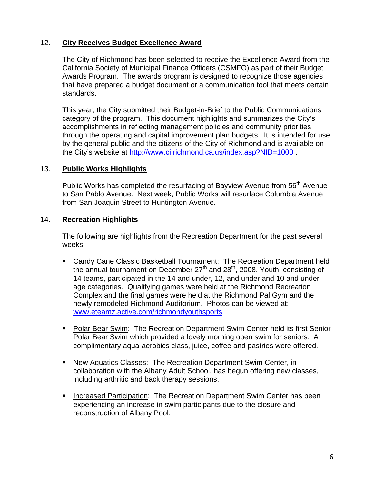# 12. **City Receives Budget Excellence Award**

The City of Richmond has been selected to receive the Excellence Award from the California Society of Municipal Finance Officers (CSMFO) as part of their Budget Awards Program. The awards program is designed to recognize those agencies that have prepared a budget document or a communication tool that meets certain standards.

This year, the City submitted their Budget-in-Brief to the Public Communications category of the program. This document highlights and summarizes the City's accomplishments in reflecting management policies and community priorities through the operating and capital improvement plan budgets. It is intended for use by the general public and the citizens of the City of Richmond and is available on the City's website at <http://www.ci.richmond.ca.us/index.asp?NID=1000> .

# 13. **Public Works Highlights**

Public Works has completed the resurfacing of Bayview Avenue from 56<sup>th</sup> Avenue to San Pablo Avenue. Next week, Public Works will resurface Columbia Avenue from San Joaquin Street to Huntington Avenue.

# 14. **Recreation Highlights**

The following are highlights from the Recreation Department for the past several weeks:

- Candy Cane Classic Basketball Tournament: The Recreation Department held the annual tournament on December  $27<sup>th</sup>$  and  $28<sup>th</sup>$ , 2008. Youth, consisting of 14 teams, participated in the 14 and under, 12, and under and 10 and under age categories. Qualifying games were held at the Richmond Recreation Complex and the final games were held at the Richmond Pal Gym and the newly remodeled Richmond Auditorium. Photos can be viewed at: [www.eteamz.active.com/richmondyouthsports](http://www.eteamz.active.com/richmondyouthsports)
- **Polar Bear Swim: The Recreation Department Swim Center held its first Senior** Polar Bear Swim which provided a lovely morning open swim for seniors. A complimentary aqua-aerobics class, juice, coffee and pastries were offered.
- New Aquatics Classes: The Recreation Department Swim Center, in collaboration with the Albany Adult School, has begun offering new classes, including arthritic and back therapy sessions.
- **Increased Participation: The Recreation Department Swim Center has been** experiencing an increase in swim participants due to the closure and reconstruction of Albany Pool.